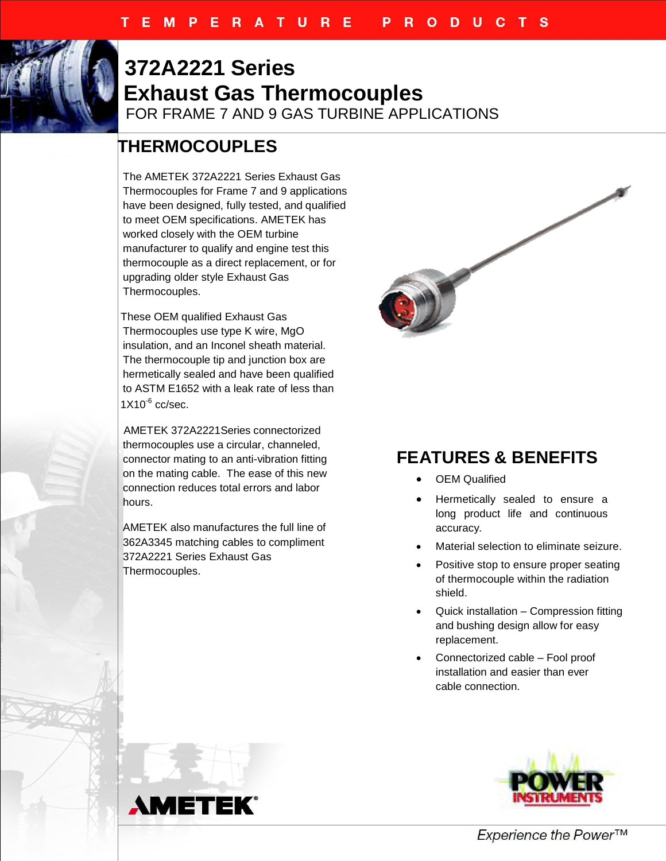

## **372A2221 Series Exhaust Gas Thermocouples** FOR FRAME 7 AND 9 GAS TURBINE APPLICATIONS

## **THERMOCOUPLES**

The AMETEK 372A2221 Series Exhaust Gas Thermocouples for Frame 7 and 9 applications have been designed, fully tested, and qualified to meet OEM specifications. AMETEK has worked closely with the OEM turbine manufacturer to qualify and engine test this thermocouple as a direct replacement, or for upgrading older style Exhaust Gas Thermocouples.

These OEM qualified Exhaust Gas Thermocouples use type K wire, MgO insulation, and an Inconel sheath material. The thermocouple tip and junction box are hermetically sealed and have been qualified to ASTM E1652 with a leak rate of less than  $1X10^{-6}$  cc/sec.

 AMETEK 372A2221Series connectorized thermocouples use a circular, channeled, connector mating to an anti-vibration fitting on the mating cable. The ease of this new connection reduces total errors and labor hours.

AMETEK also manufactures the full line of 362A3345 matching cables to compliment 372A2221 Series Exhaust Gas Thermocouples.



## **FEATURES & BENEFITS**

- OEM Qualified
- Hermetically sealed to ensure a long product life and continuous accuracy.
- Material selection to eliminate seizure.
- Positive stop to ensure proper seating of thermocouple within the radiation shield.
- Quick installation Compression fitting and bushing design allow for easy replacement.
- Connectorized cable Fool proof installation and easier than ever cable connection.





Experience the Power™